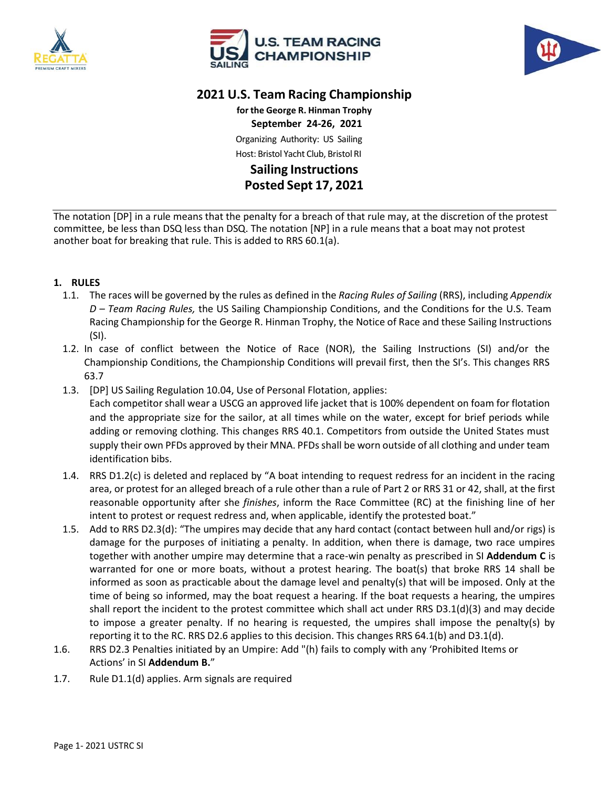





## **2021 U.S. Team Racing Championship**

**for the George R. Hinman Trophy September 24-26, 2021** Organizing Authority: US Sailing Host: Bristol Yacht Club, Bristol RI **Sailing Instructions Posted Sept 17, 2021**

The notation [DP] in a rule means that the penalty for a breach of that rule may, at the discretion of the protest committee, be less than DSQ less than DSQ. The notation [NP] in a rule means that a boat may not protest another boat for breaking that rule. This is added to RRS 60.1(a).

## **1. RULES**

- 1.1. The races will be governed by the rules as defined in the *Racing Rules of Sailing* (RRS), including *Appendix D – Team Racing Rules,* the US Sailing Championship Conditions, and the Conditions for the U.S. Team Racing Championship for the George R. Hinman Trophy, the Notice of Race and these Sailing Instructions (SI).
- 1.2. In case of conflict between the Notice of Race (NOR), the Sailing Instructions (SI) and/or the Championship Conditions, the Championship Conditions will prevail first, then the SI's. This changes RRS 63.7
- 1.3. [DP] US Sailing Regulation 10.04, Use of Personal Flotation, applies: Each competitor shall wear a USCG an approved life jacket that is 100% dependent on foam for flotation and the appropriate size for the sailor, at all times while on the water, except for brief periods while adding or removing clothing. This changes RRS 40.1. Competitors from outside the United States must supply their own PFDs approved by their MNA. PFDs shall be worn outside of all clothing and under team identification bibs.
- 1.4. RRS D1.2(c) is deleted and replaced by "A boat intending to request redress for an incident in the racing area, or protest for an alleged breach of a rule other than a rule of Part 2 or RRS 31 or 42, shall, at the first reasonable opportunity after she *finishes*, inform the Race Committee (RC) at the finishing line of her intent to protest or request redress and, when applicable, identify the protested boat."
- 1.5. Add to RRS D2.3(d): "The umpires may decide that any hard contact (contact between hull and/or rigs) is damage for the purposes of initiating a penalty. In addition, when there is damage, two race umpires together with another umpire may determine that a race-win penalty as prescribed in SI **Addendum C** is warranted for one or more boats, without a protest hearing. The boat(s) that broke RRS 14 shall be informed as soon as practicable about the damage level and penalty(s) that will be imposed. Only at the time of being so informed, may the boat request a hearing. If the boat requests a hearing, the umpires shall report the incident to the protest committee which shall act under RRS D3.1(d)(3) and may decide to impose a greater penalty. If no hearing is requested, the umpires shall impose the penalty(s) by reporting it to the RC. RRS D2.6 applies to this decision. This changes RRS 64.1(b) and D3.1(d).
- 1.6. RRS D2.3 Penalties initiated by an Umpire: Add "(h) fails to comply with any 'Prohibited Items or Actions' in SI **Addendum B.**"
- 1.7. Rule D1.1(d) applies. Arm signals are required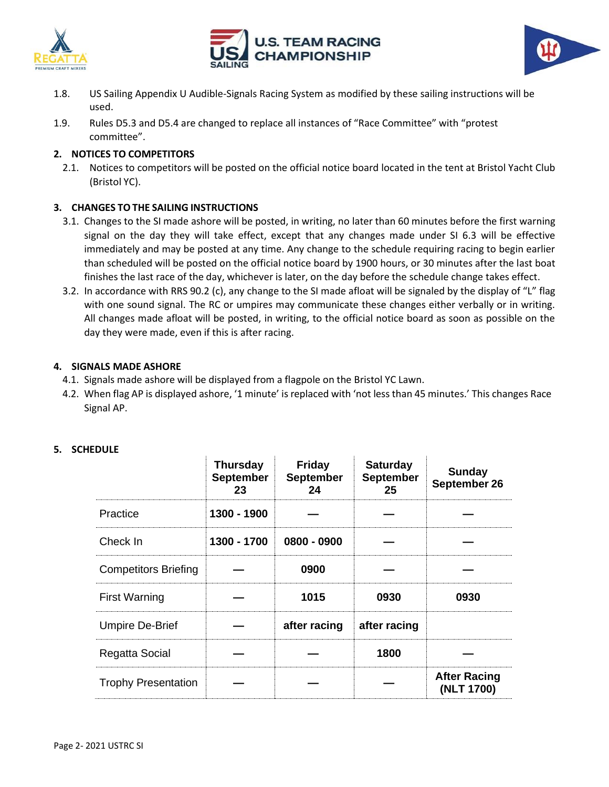





- 1.8. US Sailing Appendix U Audible-Signals Racing System as modified by these sailing instructions will be used.
- 1.9. Rules D5.3 and D5.4 are changed to replace all instances of "Race Committee" with "protest committee".

## **2. NOTICES TO COMPETITORS**

2.1. Notices to competitors will be posted on the official notice board located in the tent at Bristol Yacht Club (Bristol YC).

## **3. CHANGES TOTHE SAILING INSTRUCTIONS**

- 3.1. Changes to the SI made ashore will be posted, in writing, no later than 60 minutes before the first warning signal on the day they will take effect, except that any changes made under SI 6.3 will be effective immediately and may be posted at any time. Any change to the schedule requiring racing to begin earlier than scheduled will be posted on the official notice board by 1900 hours, or 30 minutes after the last boat finishes the last race of the day, whichever is later, on the day before the schedule change takes effect.
- 3.2. In accordance with RRS 90.2 (c), any change to the SI made afloat will be signaled by the display of "L" flag with one sound signal. The RC or umpires may communicate these changes either verbally or in writing. All changes made afloat will be posted, in writing, to the official notice board as soon as possible on the day they were made, even if this is after racing.

#### **4. SIGNALS MADE ASHORE**

- 4.1. Signals made ashore will be displayed from a flagpole on the Bristol YC Lawn.
- 4.2. When flag AP is displayed ashore, '1 minute' is replaced with 'not less than 45 minutes.' This changes Race Signal AP.

#### **5. SCHEDULE**

|                             | <b>Thursday</b><br><b>September</b><br>23 | <b>Friday</b><br><b>September</b><br>24 | <b>Saturday</b><br><b>September</b><br>25 | <b>Sunday</b><br>September 26     |
|-----------------------------|-------------------------------------------|-----------------------------------------|-------------------------------------------|-----------------------------------|
| Practice                    | 1300 - 1900                               |                                         |                                           |                                   |
| Check In                    | 1300 - 1700                               | 0800 - 0900                             |                                           |                                   |
| <b>Competitors Briefing</b> |                                           | 0900                                    |                                           |                                   |
| <b>First Warning</b>        |                                           | 1015                                    | 0930                                      | 0930                              |
| <b>Umpire De-Brief</b>      |                                           | after racing                            | after racing                              |                                   |
| Regatta Social              |                                           |                                         | 1800                                      |                                   |
| <b>Trophy Presentation</b>  |                                           |                                         |                                           | <b>After Racing</b><br>(NLT 1700) |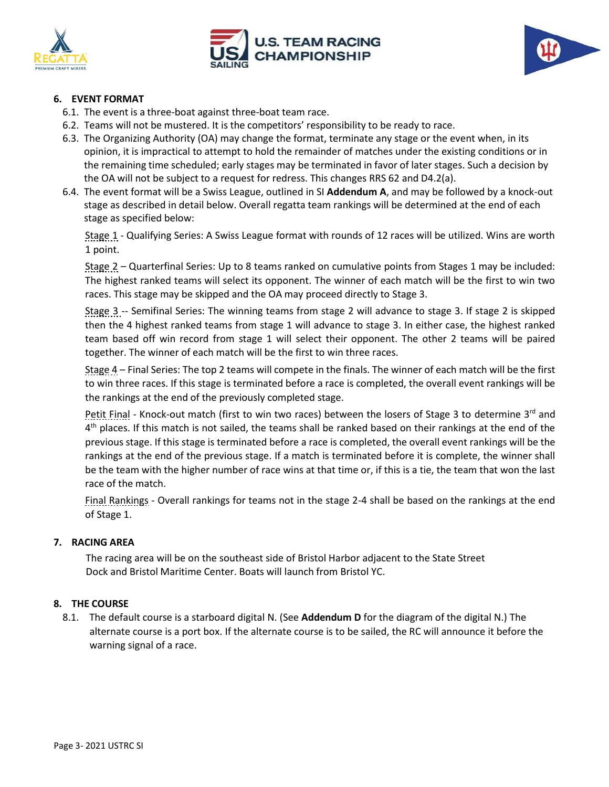





## **6. EVENT FORMAT**

- 6.1. The event is a three-boat against three-boat team race.
- 6.2. Teams will not be mustered. It is the competitors' responsibility to be ready to race.
- 6.3. The Organizing Authority (OA) may change the format, terminate any stage or the event when, in its opinion, it is impractical to attempt to hold the remainder of matches under the existing conditions or in the remaining time scheduled; early stages may be terminated in favor of later stages. Such a decision by the OA will not be subject to a request for redress. This changes RRS 62 and D4.2(a).
- 6.4. The event format will be a Swiss League, outlined in SI **Addendum A**, and may be followed by a knock-out stage as described in detail below. Overall regatta team rankings will be determined at the end of each stage as specified below:

Stage 1 - Qualifying Series: A Swiss League format with rounds of 12 races will be utilized. Wins are worth 1 point.

Stage 2 – Quarterfinal Series: Up to 8 teams ranked on cumulative points from Stages 1 may be included: The highest ranked teams will select its opponent. The winner of each match will be the first to win two races. This stage may be skipped and the OA may proceed directly to Stage 3.

Stage 3 -- Semifinal Series: The winning teams from stage 2 will advance to stage 3. If stage 2 is skipped then the 4 highest ranked teams from stage 1 will advance to stage 3. In either case, the highest ranked team based off win record from stage 1 will select their opponent. The other 2 teams will be paired together. The winner of each match will be the first to win three races.

Stage 4 – Final Series: The top 2 teams will compete in the finals. The winner of each match will be the first to win three races. If this stage is terminated before a race is completed, the overall event rankings will be the rankings at the end of the previously completed stage.

Petit Final - Knock-out match (first to win two races) between the losers of Stage 3 to determine  $3<sup>rd</sup>$  and 4<sup>th</sup> places. If this match is not sailed, the teams shall be ranked based on their rankings at the end of the previous stage. If this stage is terminated before a race is completed, the overall event rankings will be the rankings at the end of the previous stage. If a match is terminated before it is complete, the winner shall be the team with the higher number of race wins at that time or, if this is a tie, the team that won the last race of the match.

Final Rankings - Overall rankings for teams not in the stage 2-4 shall be based on the rankings at the end of Stage 1.

#### **7. RACING AREA**

The racing area will be on the southeast side of Bristol Harbor adjacent to the State Street Dock and Bristol Maritime Center. Boats will launch from Bristol YC.

#### **8. THE COURSE**

8.1. The default course is a starboard digital N. (See **Addendum D** for the diagram of the digital N.) The alternate course is a port box. If the alternate course is to be sailed, the RC will announce it before the warning signal of a race.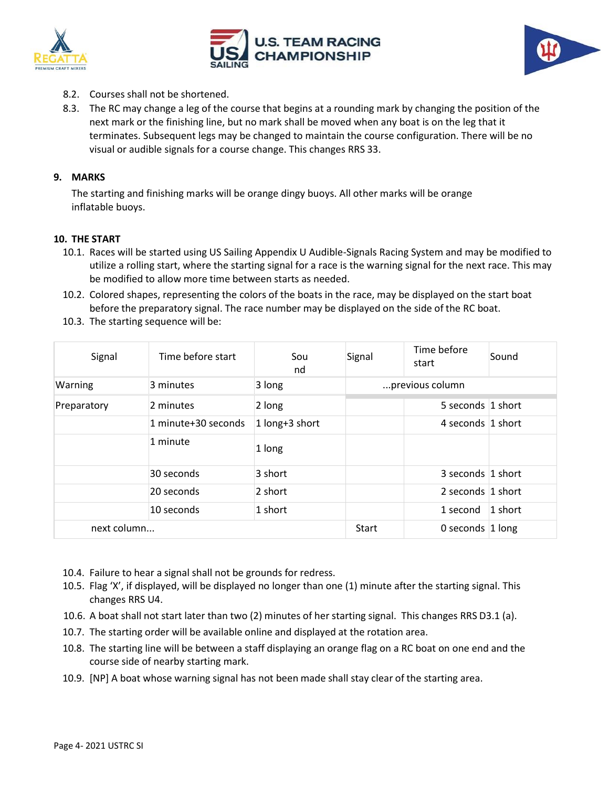





- 8.2. Courses shall not be shortened.
- 8.3. The RC may change a leg of the course that begins at a rounding mark by changing the position of the next mark or the finishing line, but no mark shall be moved when any boat is on the leg that it terminates. Subsequent legs may be changed to maintain the course configuration. There will be no visual or audible signals for a course change. This changes RRS 33.

## **9. MARKS**

The starting and finishing marks will be orange dingy buoys. All other marks will be orange inflatable buoys.

#### **10. THE START**

- 10.1. Races will be started using US Sailing Appendix U Audible-Signals Racing System and may be modified to utilize a rolling start, where the starting signal for a race is the warning signal for the next race. This may be modified to allow more time between starts as needed.
- 10.2. Colored shapes, representing the colors of the boats in the race, may be displayed on the start boat before the preparatory signal. The race number may be displayed on the side of the RC boat.
- 10.3. The starting sequence will be:

| Signal      | Time before start   | Sou<br>nd      | Signal               | Time before<br>start | Sound     |
|-------------|---------------------|----------------|----------------------|----------------------|-----------|
| Warning     | 3 minutes           | 3 long         | previous column      |                      |           |
| Preparatory | 2 minutes           | 2 long         |                      | 5 seconds 1 short    |           |
|             | 1 minute+30 seconds | 1 long+3 short |                      | 4 seconds 1 short    |           |
|             | 1 minute            | 1 long         |                      |                      |           |
|             | 30 seconds          | 3 short        |                      | 3 seconds 1 short    |           |
|             | 20 seconds          | $2$ short      |                      | 2 seconds $ 1$ short |           |
|             | 10 seconds          | 1 short        |                      | 1 second             | $1$ short |
| next column |                     | Start          | 0 seconds $ 1 $ long |                      |           |

- 10.4. Failure to hear a signal shall not be grounds for redress.
- 10.5. Flag 'X', if displayed, will be displayed no longer than one (1) minute after the starting signal. This changes RRS U4.
- 10.6. A boat shall not start later than two (2) minutes of her starting signal. This changes RRS D3.1 (a).
- 10.7. The starting order will be available online and displayed at the rotation area.
- 10.8. The starting line will be between a staff displaying an orange flag on a RC boat on one end and the course side of nearby starting mark.
- 10.9. [NP] A boat whose warning signal has not been made shall stay clear of the starting area.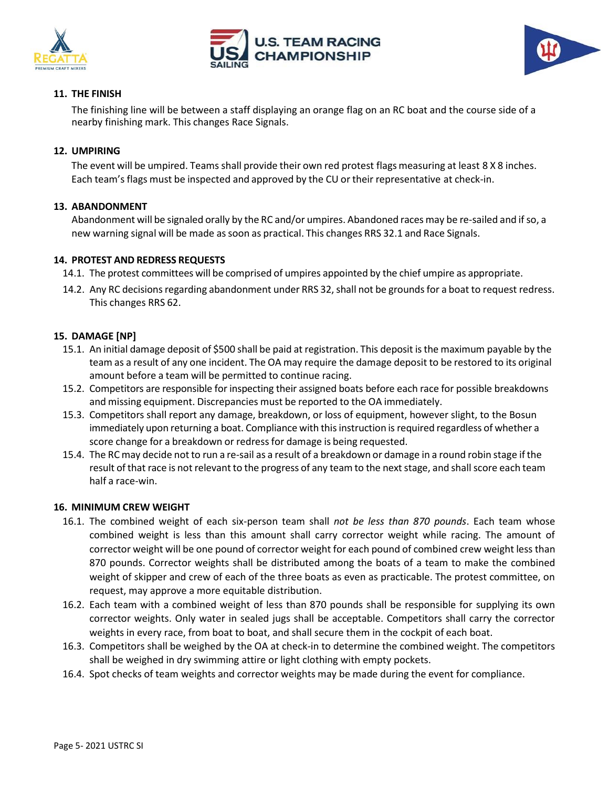

# **TEAM RACING**



## **11. THE FINISH**

The finishing line will be between a staff displaying an orange flag on an RC boat and the course side of a nearby finishing mark. This changes Race Signals.

#### **12. UMPIRING**

The event will be umpired. Teams shall provide their own red protest flags measuring at least 8 X 8 inches. Each team's flags must be inspected and approved by the CU ortheir representative at check-in.

#### **13. ABANDONMENT**

Abandonment will be signaled orally by the RC and/or umpires. Abandoned races may be re-sailed and ifso, a new warning signal will be made assoon as practical. This changes RRS 32.1 and Race Signals.

#### **14. PROTEST AND REDRESS REQUESTS**

- 14.1. The protest committees will be comprised of umpires appointed by the chief umpire as appropriate.
- 14.2. Any RC decisions regarding abandonment under RRS 32, shall not be grounds for a boat to request redress. This changes RRS 62.

## **15. DAMAGE [NP]**

- 15.1. An initial damage deposit of \$500 shall be paid at registration. This deposit isthe maximum payable by the team as a result of any one incident. The OA may require the damage deposit to be restored to its original amount before a team will be permitted to continue racing.
- 15.2. Competitors are responsible for inspecting their assigned boats before each race for possible breakdowns and missing equipment. Discrepancies must be reported to the OA immediately.
- 15.3. Competitors shall report any damage, breakdown, or loss of equipment, however slight, to the Bosun immediately upon returning a boat. Compliance with this instruction is required regardless of whether a score change for a breakdown or redress for damage is being requested.
- 15.4. The RC may decide not to run a re-sail as a result of a breakdown or damage in a round robin stage if the result of that race is not relevant to the progress of any team to the next stage, and shall score each team half a race-win.

#### **16. MINIMUM CREW WEIGHT**

- 16.1. The combined weight of each six-person team shall *not be less than 870 pounds*. Each team whose combined weight is less than this amount shall carry corrector weight while racing. The amount of corrector weight will be one pound of corrector weight for each pound of combined crew weight less than 870 pounds. Corrector weights shall be distributed among the boats of a team to make the combined weight of skipper and crew of each of the three boats as even as practicable. The protest committee, on request, may approve a more equitable distribution.
- 16.2. Each team with a combined weight of less than 870 pounds shall be responsible for supplying its own corrector weights. Only water in sealed jugs shall be acceptable. Competitors shall carry the corrector weights in every race, from boat to boat, and shall secure them in the cockpit of each boat.
- 16.3. Competitors shall be weighed by the OA at check-in to determine the combined weight. The competitors shall be weighed in dry swimming attire or light clothing with empty pockets.
- 16.4. Spot checks of team weights and corrector weights may be made during the event for compliance.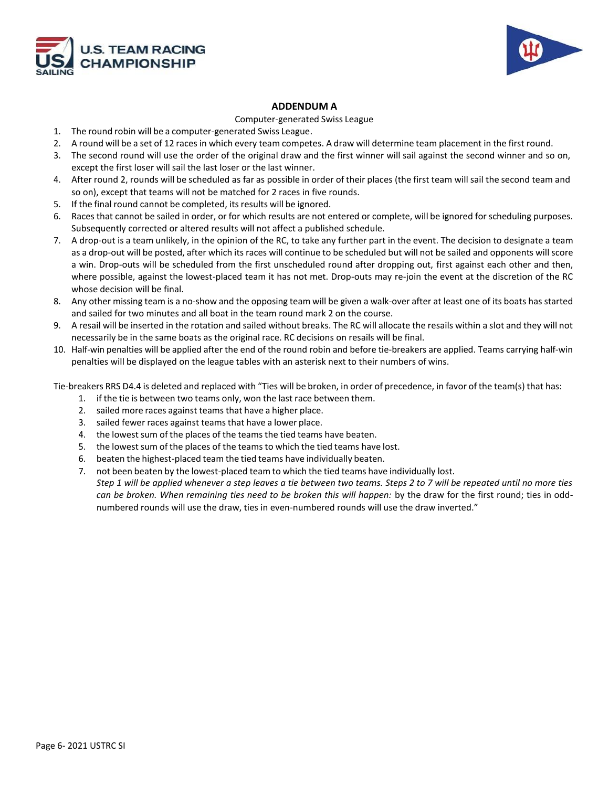



#### **ADDENDUM A**

#### Computer-generated Swiss League

- 1. The round robin will be a computer-generated Swiss League.
- 2. A round will be a set of 12 races in which every team competes. A draw will determine team placement in the first round.
- 3. The second round will use the order of the original draw and the first winner will sail against the second winner and so on, except the first loser will sail the last loser or the last winner.
- 4. After round 2, rounds will be scheduled as far as possible in order of their places (the first team will sail the second team and so on), except that teams will not be matched for 2 races in five rounds.
- 5. If the final round cannot be completed, its results will be ignored.
- 6. Races that cannot be sailed in order, or for which results are not entered or complete, will be ignored for scheduling purposes. Subsequently corrected or altered results will not affect a published schedule.
- 7. A drop-out is a team unlikely, in the opinion of the RC, to take any further part in the event. The decision to designate a team as a drop-out will be posted, after which its races will continue to be scheduled but will not be sailed and opponents will score a win. Drop-outs will be scheduled from the first unscheduled round after dropping out, first against each other and then, where possible, against the lowest-placed team it has not met. Drop-outs may re-join the event at the discretion of the RC whose decision will be final.
- 8. Any other missing team is a no-show and the opposing team will be given a walk-over after at least one of its boats has started and sailed for two minutes and all boat in the team round mark 2 on the course.
- 9. A resail will be inserted in the rotation and sailed without breaks. The RC will allocate the resails within a slot and they will not necessarily be in the same boats as the original race. RC decisions on resails will be final.
- 10. Half-win penalties will be applied after the end of the round robin and before tie-breakers are applied. Teams carrying half-win penalties will be displayed on the league tables with an asterisk next to their numbers of wins.

Tie-breakers RRS D4.4 is deleted and replaced with "Ties will be broken, in order of precedence, in favor of the team(s) that has:

- 1. if the tie is between two teams only, won the last race between them.
- 2. sailed more races against teams that have a higher place.
- 3. sailed fewer races against teams that have a lower place.
- 4. the lowest sum of the places of the teams the tied teams have beaten.
- 5. the lowest sum of the places of the teams to which the tied teams have lost.
- 6. beaten the highest-placed team the tied teams have individually beaten.
- 7. not been beaten by the lowest-placed team to which the tied teams have individually lost.

*Step 1 will be applied whenever a step leaves a tie between two teams. Steps 2 to 7 will be repeated until no more ties can be broken. When remaining ties need to be broken this will happen:* by the draw for the first round; ties in oddnumbered rounds will use the draw, ties in even-numbered rounds will use the draw inverted."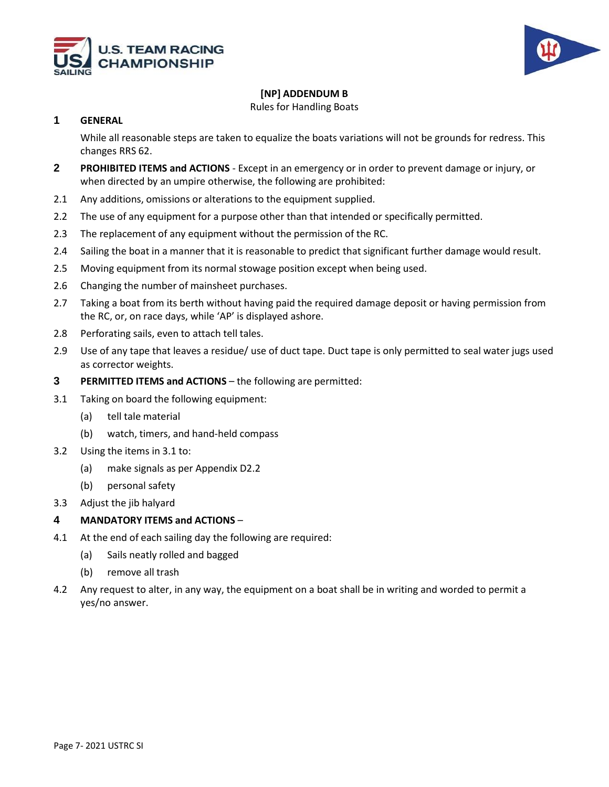



## **[NP] ADDENDUM B**

Rules for Handling Boats

#### **1 GENERAL**

While all reasonable steps are taken to equalize the boats variations will not be grounds for redress. This changes RRS 62.

- **2 PROHIBITED ITEMS and ACTIONS**  Except in an emergency or in order to prevent damage or injury, or when directed by an umpire otherwise, the following are prohibited:
- 2.1 Any additions, omissions or alterations to the equipment supplied.
- 2.2 The use of any equipment for a purpose other than that intended or specifically permitted.
- 2.3 The replacement of any equipment without the permission of the RC.
- 2.4 Sailing the boat in a manner that it is reasonable to predict that significant further damage would result.
- 2.5 Moving equipment from its normal stowage position except when being used.
- 2.6 Changing the number of mainsheet purchases.
- 2.7 Taking a boat from its berth without having paid the required damage deposit or having permission from the RC, or, on race days, while 'AP' is displayed ashore.
- 2.8 Perforating sails, even to attach tell tales.
- 2.9 Use of any tape that leaves a residue/ use of duct tape. Duct tape is only permitted to seal water jugs used as corrector weights.
- **3 PERMITTED ITEMS and ACTIONS** the following are permitted:
- 3.1 Taking on board the following equipment:
	- (a) tell tale material
	- (b) watch, timers, and hand-held compass
- 3.2 Using the items in 3.1 to:
	- (a) make signals as per Appendix D2.2
	- (b) personal safety
- 3.3 Adjust the jib halyard

#### **4 MANDATORY ITEMS and ACTIONS** –

- 4.1 At the end of each sailing day the following are required:
	- (a) Sails neatly rolled and bagged
	- (b) remove all trash
- 4.2 Any request to alter, in any way, the equipment on a boat shall be in writing and worded to permit a yes/no answer.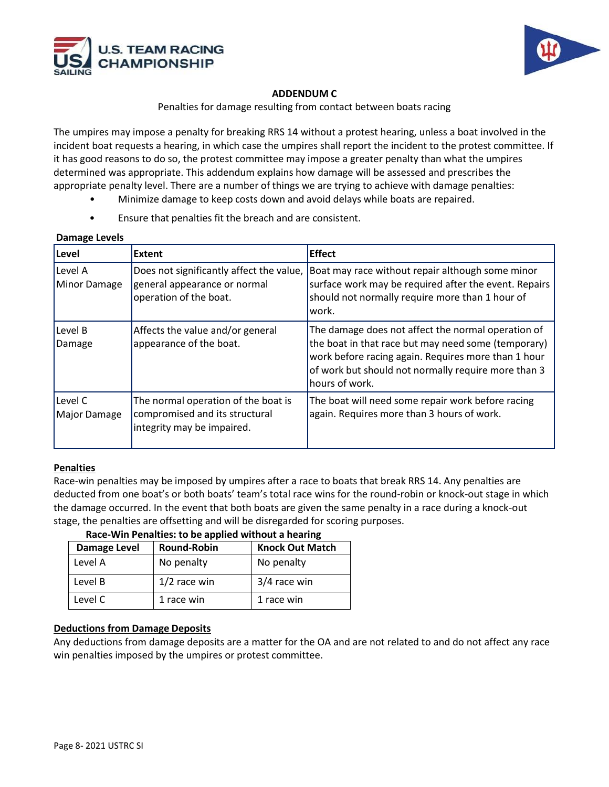



## **ADDENDUM C**

Penalties for damage resulting from contact between boats racing

The umpires may impose a penalty for breaking RRS 14 without a protest hearing, unless a boat involved in the incident boat requests a hearing, in which case the umpires shall report the incident to the protest committee. If it has good reasons to do so, the protest committee may impose a greater penalty than what the umpires determined was appropriate. This addendum explains how damage will be assessed and prescribes the appropriate penalty level. There are a number of things we are trying to achieve with damage penalties:

- Minimize damage to keep costs down and avoid delays while boats are repaired.
- Ensure that penalties fit the breach and are consistent.

#### **Damage Levels**

| Level                   | <b>Extent</b>                                                                                       | <b>Effect</b>                                                                                                                                                                                                                             |
|-------------------------|-----------------------------------------------------------------------------------------------------|-------------------------------------------------------------------------------------------------------------------------------------------------------------------------------------------------------------------------------------------|
| Level A<br>Minor Damage | Does not significantly affect the value,<br>general appearance or normal<br>operation of the boat.  | Boat may race without repair although some minor<br>surface work may be required after the event. Repairs<br>should not normally require more than 1 hour of<br>lwork.                                                                    |
| Level B<br>Damage       | Affects the value and/or general<br>appearance of the boat.                                         | The damage does not affect the normal operation of<br>the boat in that race but may need some (temporary)<br>work before racing again. Requires more than 1 hour<br>of work but should not normally require more than 3<br>hours of work. |
| Level C<br>Major Damage | The normal operation of the boat is<br>compromised and its structural<br>integrity may be impaired. | The boat will need some repair work before racing<br>again. Requires more than 3 hours of work.                                                                                                                                           |

#### **Penalties**

Race-win penalties may be imposed by umpires after a race to boats that break RRS 14. Any penalties are deducted from one boat's or both boats' team's total race wins for the round-robin or knock-out stage in which the damage occurred. In the event that both boats are given the same penalty in a race during a knock-out stage, the penalties are offsetting and will be disregarded for scoring purposes.

## **Race-Win Penalties: to be applied without a hearing**

| <b>Damage Level</b> | <b>Round-Robin</b> | <b>Knock Out Match</b> |
|---------------------|--------------------|------------------------|
| Level A             | No penalty         | No penalty             |
| Level B             | $1/2$ race win     | 3/4 race win           |
| Level C             | 1 race win         | 1 race win             |

## **Deductions from Damage Deposits**

Any deductions from damage deposits are a matter for the OA and are not related to and do not affect any race win penalties imposed by the umpires or protest committee.